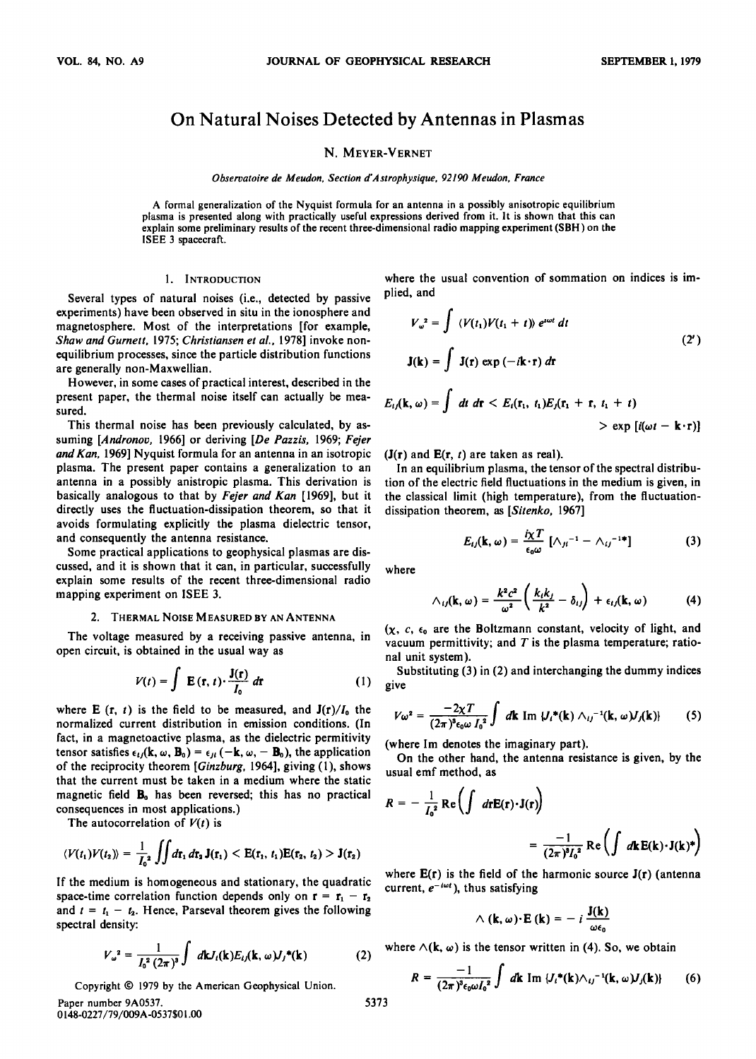# **On Natural Noises Detected by Antennas in Plasmas**

## **N. MEYER-VERNET**

**Observatoire de Meudon, Section d'Astrophysique, 92190 Meudon, France** 

**A formal generalization of the Nyquist formula for an antenna in a possibly anisotropic equilibrium plasma is presented along with practically useful expressions derived from it. It is shown that this can explain some preliminary results of the recent three-dimensional radio mapping experiment (SBH) on the ISEE 3 spacecraft.** 

### **1. INTRODUCTION**

**Several types of natural noises (i.e., detected by passive experiments) have been observed in situ in the ionosphere and magnetosphere. Most of the interpretations [for example, Shaw and Gurnett, 1975; Christiansen et al., 1978] invoke nonequilibrium processes, since the particle distribution functions are generally non-Maxwellian.** 

**However, in some cases of practical interest, described in the present paper, the thermal noise itself can actually be measured.** 

**This thermal noise has been previously calculated, by assuming [Andronov, 1966] or deriving [De Pazzis, 1969; Fejer and Kan, 1969] Nyquist formula for an antenna in an isotropic plasma. The present paper contains a generalization to an antenna in a possibly anistropic plasma. This derivation is basically analogous to that by Fejer and Kan [1969], but it directly uses the fluctuation-dissipation theorem, so that it avoids formulating explicitly the plasma dielectric tensor, and consequently the antenna resistance.** 

**Some practical applications to geophysical plasmas are discussed, and it is shown that it can, in particular, successfully explain some results of the recent three-dimensional radio mapping experiment on ISEE 3.** 

#### **2. THERMAL NOISE MEASURED BY AN ANTENNA**

**The voltage measured by a receiving passive antenna, in open circuit, is obtained in the usual way as** 

$$
V(t) = \int \mathbf{E}(\mathbf{r}, t) \cdot \frac{\mathbf{J}(\mathbf{r})}{I_0} d\mathbf{r}
$$
 (1)

where **E**  $(r, t)$  is the field to be measured, and  $J(r)/I_0$  the **normalized current distribution in emission conditions. (In fact, in a magnetoactive plasma, as the dielectric permitivity**  tensor satisfies  $\epsilon_{ij}$ (**k**,  $\omega$ , **B**<sub>0</sub>) =  $\epsilon_{ji}$  (-**k**,  $\omega$ , - **B**<sub>0</sub>), the application **of the reciprocity theorem [Ginzburg, 1964], giving (1), shows that the current must be taken in a medium where the static**  magnetic field **B**<sub>0</sub> has been reversed; this has no practical **consequences in most applications.)** 

The autocorrelation of  $V(t)$  is

$$
\langle V(t_1)V(t_2)\rangle = \frac{1}{I_0^2}\iint d\mathbf{r}_1 d\mathbf{r}_2 \mathbf{J}(\mathbf{r}_1) < \mathbf{E}(\mathbf{r}_1, t_1)\mathbf{E}(\mathbf{r}_2, t_2) > \mathbf{J}(\mathbf{r}_2)
$$

**If the medium is homogeneous and stationary, the quadratic**  space-time correlation function depends only on  $r = r_1 - r_2$ and  $t = t_1 - t_2$ . Hence, Parseval theorem gives the following **spectral density:** 

$$
V_{\omega}^{2} = \frac{1}{I_{0}^{2} (2\pi)^{3}} \int d\mathbf{k} J_{i}(\mathbf{k}) E_{ij}(\mathbf{k}, \omega) J_{j}^{*}(\mathbf{k})
$$
 (2)

Copyright  $\odot$  1979 by the American Geophysical Union.

**Paper number 9A0537. 0148-0227/79/009A-0537501.00** 

**where the usual convention of sommation on indices is implied, and** 

$$
V_{\omega}^{2} = \int \langle V(t_{1})V(t_{1} + t) \rangle e^{i\omega t} dt
$$
  
\n
$$
\mathbf{J}(\mathbf{k}) = \int \mathbf{J}(\mathbf{r}) \exp(-i\mathbf{k} \cdot \mathbf{r}) d\mathbf{r}
$$
  
\n
$$
E_{ij}(\mathbf{k}, \omega) = \int dt \, d\mathbf{r} < E_{i}(\mathbf{r}_{1}, t_{1})E_{j}(\mathbf{r}_{1} + \mathbf{r}, t_{1} + t)
$$
\n(2')

 $>$  exp  $[i(\omega t - \mathbf{k} \cdot \mathbf{r})]$ 

 $(J(r)$  and  $E(r, t)$  are taken as real).

**In an equilibrium plasma, the tensor of the spectral distribution of the electric field fluctuations in the medium is given, in the classical limit (high temperature), from the fluctuationdissipation theorem, as [Sitenko, 1967]** 

$$
E_{ij}(\mathbf{k},\,\omega)=\frac{i\chi T}{\epsilon_0\omega}\,\left[\wedge_{ji}^{-1}-\wedge_{ij}^{-1}\right] \qquad \qquad (3)
$$

**where** 

$$
\wedge_{ij}(\mathbf{k},\,\omega)=\frac{k^2c^2}{\omega^2}\left(\frac{k_ik_j}{k^2}-\delta_{ij}\right)+\epsilon_{ij}(\mathbf{k},\,\omega)\qquad\qquad(4)
$$

**(X, c, eo are the Boltzmann constant, velocity of light, and vacuum permittivity; and T is the plasma temperature; rational unit system).** 

**Substituting (3) in (2) and interchanging the dummy indices give** 

$$
V\omega^2 = \frac{-2\chi T}{(2\pi)^3 \epsilon_0 \omega I_0^2} \int d\mathbf{k} \text{ Im } |J_i^*(\mathbf{k}) \wedge_{ij}^{-1}(\mathbf{k}, \omega) J_j(\mathbf{k})|
$$
 (5)

**(where Im denotes the imaginary part).** 

**On the other hand, the antenna resistance is given, by the usual emf method, as** 

$$
R = -\frac{1}{I_0^2} \operatorname{Re} \left( \int d\mathbf{r} \mathbf{E}(\mathbf{r}) \cdot \mathbf{J}(\mathbf{r}) \right)
$$
  
= 
$$
\frac{-1}{(2\pi)^3 I_0^2} \operatorname{Re} \left( \int d\mathbf{k} \mathbf{E}(\mathbf{k}) \cdot \mathbf{J}(\mathbf{k})^* \right)
$$

**where E(r) is the field of the harmonic source J(r) (antenna**  current,  $e^{-i\omega t}$ ), thus satisfying

$$
\wedge (\mathbf{k}, \omega) \cdot \mathbf{E} (\mathbf{k}) = -i \frac{\mathbf{J}(\mathbf{k})}{\omega \epsilon_0}
$$

where  $\wedge$ (**k**,  $\omega$ ) is the tensor written in (4). So, we obtain

$$
R = \frac{-1}{(2\pi)^3 \epsilon_0 \omega I_0^2} \int d\mathbf{k} \, \mathrm{Im} \, \{J_i^*(\mathbf{k}) \wedge_{ij}^{-1}(\mathbf{k}, \omega) J_j(\mathbf{k})\} \qquad (6)
$$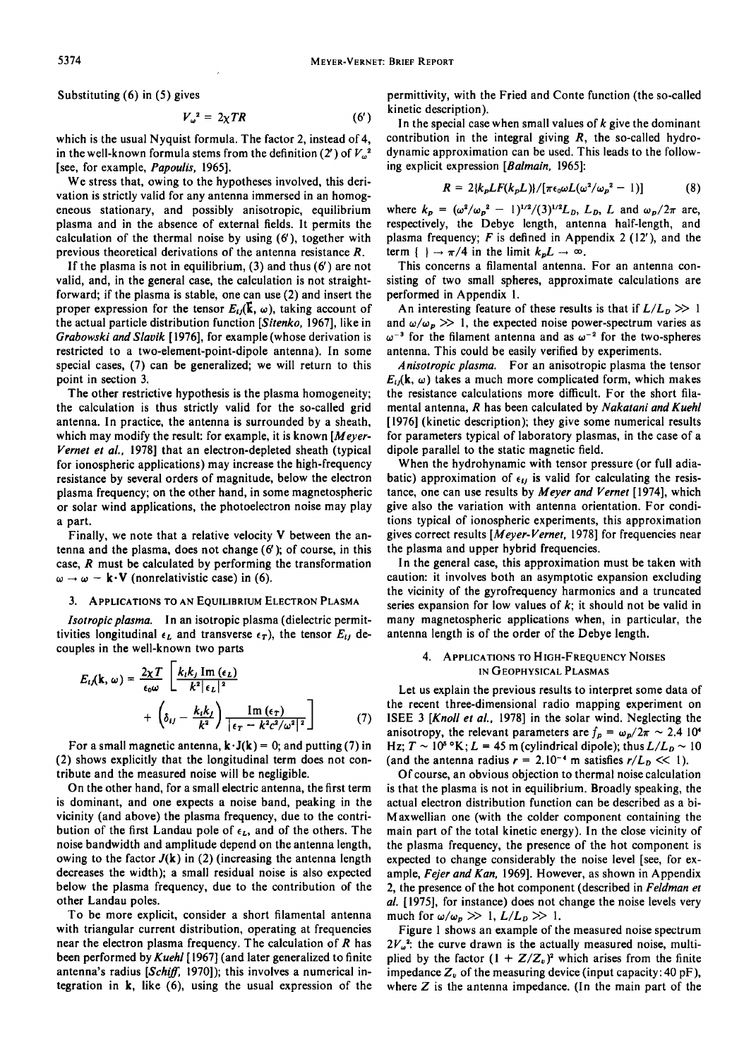**Substituting (6) in (5) gives** 

$$
V_{\omega}^2 = 2\chi TR \tag{6'}
$$

**which is the usual Nyquist formula. The factor 2, instead of 4,**  in the well-known formula stems from the definition (2') of  $V_\omega^2$ **[see, for example, Papoulis, 1965].** 

**We stress that, owing to the hypotheses involved, this derivation is strictly valid for any antenna immersed in an homogeneous stationary, and possibly anisotropic, equilibrium plasma and in the absence of external fields. It permits the calculation of the thermal noise by using (6'), together with previous theoretical derivations of the antenna resistance R.** 

**If the plasma is not in equilibrium, (3) and thus (6') are not valid, and, in the general case, the calculation is not straightforward; if the plasma is stable, one can use (2) and insert the**  proper expression for the tensor  $E_{ij}(\vec{k}, \omega)$ , taking account of **the actual particle distribution function [Sitenko, 1967], like in Grabowski and Slavik [1976], for example (whose derivation is restricted to a two-element-point-dipole antenna). In some special cases, (7) can be generalized; we will return to this point in section 3.** 

**The other restrictive hypothesis is the plasma homogeneity; the calculation is thus strictly valid for the so-called grid antenna. In practice, the antenna is surrounded by a sheath, which may modify the result: for example, it is known [Meyer-Vernet et al., 1978] that an electron-depleted sheath (typical for ionospheric applications) may increase the high-frequency resistance by several orders of magnitude, below the electron plasma frequency; on the other hand, in some magnetospheric or solar wind applications, the photoelectron noise may play a part.** 

**Finally, we note that a relative velocity V between the antenna and the plasma, does not change (6'); of course, in this case, R must be calculated by performing the transformation**   $\omega \rightarrow \omega - \mathbf{k} \cdot \mathbf{V}$  (nonrelativistic case) in (6).

#### **3. APPLICATIONS TO AN EQUILIBRIUM ELECTRON PLASMA**

**Isotropic plasma. In an isotropic plasma (dielectric permit**tivities longitudinal  $\epsilon_L$  and transverse  $\epsilon_T$ ), the tensor  $E_{ij}$  de**couples in the well-known two parts** 

$$
E_{ij}(\mathbf{k}, \omega) = \frac{2\chi T}{\epsilon_0 \omega} \left[ \frac{k_ik_j \operatorname{Im}(\epsilon_L)}{k^2 |\epsilon_L|^2} + \left( \delta_{ij} - \frac{k_ik_j}{k^2} \right) \frac{\operatorname{Im}(\epsilon_T)}{|\epsilon_T - k^2 c^2/\omega^2|^2} \right] \tag{7}
$$

For a small magnetic antenna,  $\mathbf{k} \cdot \mathbf{J}(\mathbf{k}) = 0$ ; and putting (7) in **(2) shows explicitly that the longitudinal term does not contribute and the measured noise will be negligible.** 

**On the other hand, for a small electric antenna, the first term is dominant, and one expects a noise band, peaking in the vicinity (and above) the plasma frequency, due to the contribution of the first Landau pole of**  $\epsilon_L$ **, and of the others. The noise bandwidth and amplitude depend on the antenna length,**  owing to the factor  $J(k)$  in (2) (increasing the antenna length **decreases the width); a small residual noise is also expected below the plasma frequency, due to the contribution of the other Landau poles.** 

**To be more explicit, consider a short iliamental antenna with triangular current distribution, operating at frequencies near the electron plasma frequency. The calculation of R has been performed by Kuehl [ 1967] (and later generalized to finite**  antenna's radius [Schiff, 1970]); this involves a numerical in**tegration in k, like (6), using the usual expression of the**  **permittivity, with the Fried and Conte function (the so-called kinetic description).** 

**In the special case when small values of k give the dominant contribution in the integral giving R, the so-called hydrodynamic approximation can be used. This leads to the following explicit expression [Balmain, 1965]:** 

$$
R = 2\{k_p L F(k_p L)\}/[\pi \epsilon_0 \omega L (\omega^2/\omega_p^2 - 1)] \tag{8}
$$

where  $k_p = (\omega^2/\omega_p^2 - 1)^{1/2}/(3)^{1/2}L_p$ ,  $L_p$ ,  $L$  and  $\omega_p/2\pi$  are, **respectively, the Debye length, antenna half-length, and plasma frequency; F is defined in Appendix 2 (12'), and the**  term  $\{\ \} \rightarrow \pi/4$  in the limit  $k_p L \rightarrow \infty$ .

**This concerns a iliamental antenna. For an antenna consisting of two small spheres, approximate calculations are performed in Appendix 1.** 

An interesting feature of these results is that if  $L/L_p \gg 1$ and  $\omega/\omega_p \gg 1$ , the expected noise power-spectrum varies as  $\omega^{-3}$  for the filament antenna and as  $\omega^{-2}$  for the two-spheres **antenna. This could be easily verified by experiments.** 

**Anisotropic plasma. For an anisotropic plasma the tensor**   $E_{ij}$ (k,  $\omega$ ) takes a much more complicated form, which makes **the resistance calculations more difficult. For the short iliamental antenna, R has been calculated by Nakatani and Kuehl [1976] (kinetic description); they give some numerical results for parameters typical of laboratory plasmas, in the case of a dipole parallel to the static magnetic field.** 

**When the hydrohynamic with tensor pressure (or full adia**batic) approximation of  $\epsilon_{ij}$  is valid for calculating the resis**tance, one can use results by Meyer and Vernet [1974], which give also the variation with antenna orientation. For conditions typical of ionospheric experiments, this approximation gives correct results [Meyer-Vernet, 1978] for frequencies near the plasma and upper hybrid frequencies.** 

**In the general case, this approximation must be taken with caution: it involves both an asymptotic expansion excluding the vicinity of the gyrofrequency harmonics and a truncated series expansion for low values of k; it should not be valid in many magnetospheric applications when, in particular, the antenna length is of the order of the Debye length.** 

### **4. APPLICATIONS TO HIGH-FREQUENCY NOISES IN GEOPHYSICAL PLASMAS**

**Let us explain the previous results to interpret some data of the recent three-dimensional radio mapping experiment on ISEE 3 [Knoll et al., 1978] in the solar wind. Neglecting the**  anisotropy, the relevant parameters are  $f_p = \omega_p/2\pi \sim 2.4 \, 10^4$ Hz;  $T \sim 10^8$  °K;  $L = 45$  m (cylindrical dipole); thus  $L/L_p \sim 10$ (and the antenna radius  $r = 2.10^{-4}$  m satisfies  $r/L_p \ll 1$ ).

**Of course, an obvious objection to thermal noise calculation is that the plasma is not in equilibrium. Broadly speaking, the actual electron distribution function can be described as a bi-M axwellian one (with the colder component containing the main part of the total kinetic energy). In the close vicinity of the plasma frequency, the presence of the hot component is expected to change considerably the noise level [see, for example, Fejer and Kan, 1969]. However, as shown in Appendix 2, the presence of the hot component (described in Feldman et al. [1975], for instance) does not change the noise levels very**  much for  $\omega/\omega_p \gg 1$ ,  $L/L_p \gg 1$ .

**Figure 1 shows an example of the measured noise spectrum**   $2V_{\omega}^2$ : the curve drawn is the actually measured noise, multiplied by the factor  $(1 + Z/Z_v)^2$  which arises from the finite impedance  $Z_{\nu}$  of the measuring device (input capacity: 40 pF), **where Z is the antenna impedance. (In the main part of the**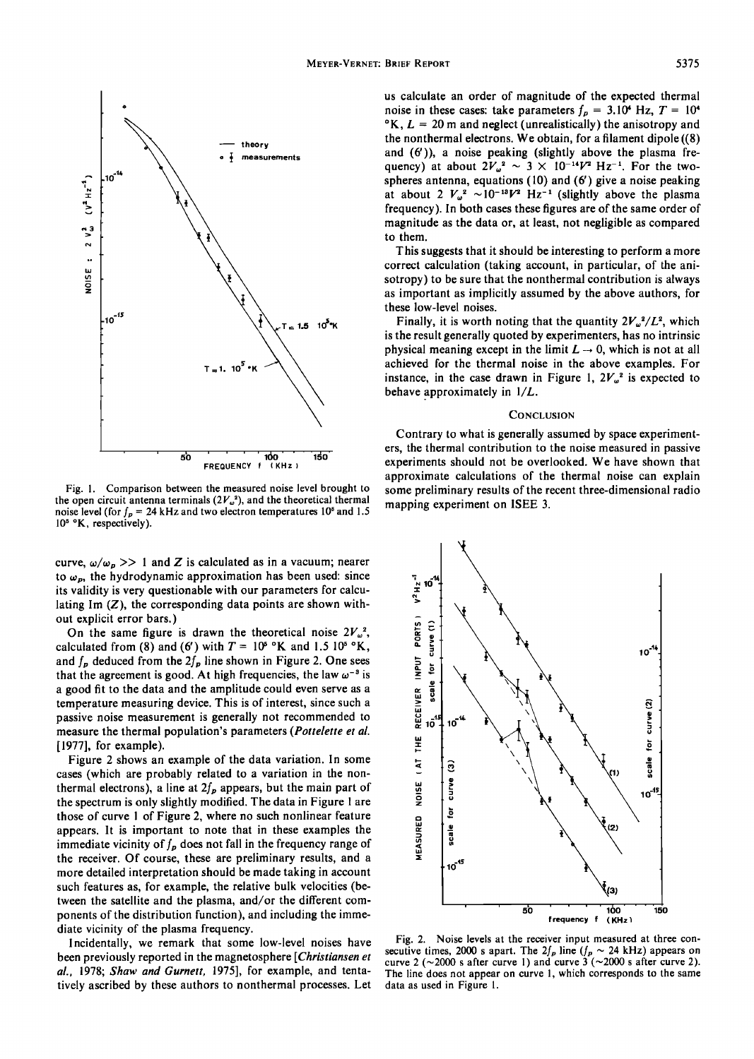

**Fig. 1. Comparison between the measured noise level brought to**  the open circuit antenna terminals  $(2V_{\omega}^2)$ , and the theoretical thermal noise level (for  $f_p = 24$  kHz and two electron temperatures 10<sup>5</sup> and 1.5 **l05 øK, respectively).** 

curve,  $\omega/\omega_p$  >> 1 and Z is calculated as in a vacuum; nearer to  $\omega_p$ , the hydrodynamic approximation has been used: since **its validity is very questionable with our parameters for calculating lm (Z), the corresponding data points are shown without explicit error bars.)** 

On the same figure is drawn the theoretical noise  $2V_{\omega}^2$ , calculated from (8) and (6') with  $T = 10^6$  °K and 1.5 10<sup>5</sup> °K, and  $f_p$  deduced from the  $2f_p$  line shown in Figure 2. One sees that the agreement is good. At high frequencies, the law  $\omega^{-3}$  is **a good fit to the data and the amplitude could even serve as a temperature measuring device. This is of interest, since such a passive noise measurement is generally not recommended to measure the thermal population's parameters (Pottelette et al. [1977], for example).** 

**Figure 2 shows an example of the data variation. In some cases (which are probably related to a variation in the non**thermal electrons), a line at  $2f_p$  appears, but the main part of **the spectrum is only slightly modified. The data in Figure 1 are those of curve 1 of Figure 2, where no such nonlinear feature appears. It is important to note that in these examples the**  immediate vicinity of  $f_p$  does not fall in the frequency range of **the receiver. Of course, these are preliminary results, and a more detailed interpretation should be made taking in account such features as, for example, the relative bulk velocities (between the satellite and the plasma, and/or the different components of the distribution function), and including the immediate vicinity of the plasma frequency.** 

**Incidentally, we remark that some low-level noises have been previously reported in the magnetosphere [Christiansen et al., 1978; Shaw and Gurnett, 1975], for example, and tentatively ascribed by these authors to nonthermal processes. Let**  **us calculate an order of magnitude of the expected thermal**  noise in these cases: take parameters  $f_p = 3.10^4$  Hz,  $T = 10^4$  $\textdegree K$ ,  $L = 20$  m and neglect (unrealistically) the anisotropy and **the nonthermal electrons. We obtain, for a filament dipole ((8) and (6')), a noise peaking (slightly above the plasma fre**quency) at about  $2V_\omega^2 \sim 3 \times 10^{-14}V^2$  Hz<sup>-1</sup>. For the two**spheres antenna, equations (10) and (6') give a noise peaking**  at about 2  $V_{\omega}^2 \sim 10^{-13} V^2$  Hz<sup>-1</sup> (slightly above the plasma **frequency). In both cases these figures are of the same order of magnitude as the data or, at least, not negligible as compared to them.** 

**This suggests that it should be interesting to perform a more correct calculation (taking account, in particular, of the anisotropy) to be sure that the nonthermal contribution is always as important as implicitly assumed by the above authors, for these low-level noises.** 

**Finally, it is worth noting that the quantity**  $2V_a^2/L^2$ **, which is the result generally quoted by experimenters, has no intrinsic**  physical meaning except in the limit  $L \rightarrow 0$ , which is not at all **achieved for the thermal noise in the above examples. For**  instance, in the case drawn in Figure 1,  $2V_{\omega}^2$  is expected to **behave approximately in 1/L.** 

#### **CONCLUSION**

**Contrary to what is generally assumed by space experimenters, the thermal contribution to the noise measured in passive experiments should not be overlooked. We have shown that approximate calculations of the thermal noise can explain some preliminary results of the recent three-dimensional radio mapping experiment on ISEE 3.** 



**Fig. 2. Noise levels at the receiver input measured at three con**secutive times, 2000 s apart. The  $2f_p$  line  $(f_p \sim 24 \text{ kHz})$  appears on curve 2 ( $\sim$ 2000 s after curve 1) and curve 3 ( $\sim$ 2000 s after curve 2). **The line does not appear on curve 1, which corresponds to the same data as used in Figure 1.**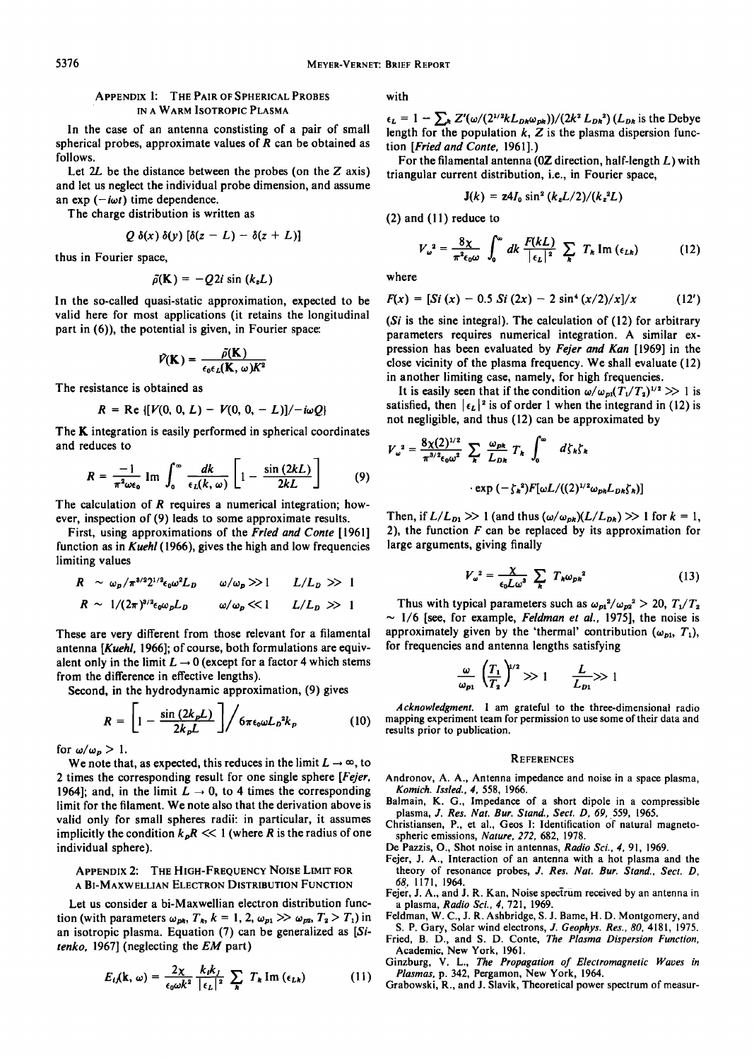## **APPENDIX 1: THE PAIR OF SPHERICAL PROBES IN A WARM ISOTROPIC PLASMA**

**In the case of an antenna constisting of a pair of small spherical probes, approximate values of R can be obtained as follows.** 

Let  $2L$  be the distance between the probes (on the  $Z$  axis) **and let us neglect the individual probe dimension, and assume**  an  $exp(-i\omega t)$  time dependence.

**The charge distribution is written as** 

$$
Q \delta(x) \delta(y) [\delta(z-L) - \delta(z+L)]
$$

**thus in Fourier space,** 

$$
\tilde{\rho}(\mathbf{K}) = -Q2i \sin(k_zL)
$$

**In the so-called quasi-static approximation, expected to be valid here for most applications (it retains the longitudinal part in (6)), the potential is given, in Fourier space:** 

$$
\tilde{V}(\mathbf{K}) = \frac{\tilde{\rho}(\mathbf{K})}{\epsilon_0 \epsilon_L(\mathbf{K}, \omega) K^2}
$$

**The resistance is obtained as** 

$$
R = \text{Re}\{[V(0, 0, L) - V(0, 0, -L)] / - i\omega Q\}
$$

**The K integration is easily performed in spherical coordinates and reduces to** 

$$
R = \frac{-1}{\pi^2 \omega \epsilon_0} \text{ Im } \int_0^\infty \frac{dk}{\epsilon_L(k,\,\omega)} \left[1 - \frac{\sin{(2kL)}}{2kL} \right] \tag{9}
$$

**The calculation of R requires a numerical integration; however, inspection of (9) leads to some approximate results.** 

**First, using approximations of the Fried and Conte [1961] function as in Kuehl (1966), gives the high and low frequencies limiting values** 

$$
R \sim \omega_p/\pi^{3/2}2^{1/2}\epsilon_0\omega^2L_D \qquad \omega/\omega_p \gg 1 \qquad L/L_D \gg 1
$$

$$
R \sim 1/(2\pi)^{3/2} \epsilon_0 \omega_p L_D \qquad \omega/\omega_p \ll 1 \qquad L/L_D \gg 1
$$

These are very different from those relevant for a filamental **antenna [Kuehl, 1966]; of course, both formulations are equiv**alent only in the limit  $L \rightarrow 0$  (except for a factor 4 which stems **from the difference in effective lengths).** 

**Second, in the hydrodynamic approximation, (9) gives** 

$$
R = \left[1 - \frac{\sin(2k_p L)}{2k_p L}\right] / 6\pi \epsilon_0 \omega L_D^2 k_p \qquad (10) \quad n \tag{10}
$$

for  $\omega/\omega_p > 1$ .

We note that, as expected, this reduces in the limit  $L \rightarrow \infty$ , to **2 times the corresponding result for one single sphere [Fejer,**  1964]; and, in the limit  $L \rightarrow 0$ , to 4 times the corresponding **limit for the filament. We note also that the derivation above is valid only for small spheres radii: in particular, it assumes implicitly the condition**  $k_p R \ll 1$  **(where R is the radius of one individual sphere).** 

## **APPENDIX 2: THE HIGH-FREQUENCY NOISE LIMIT FOR A BI-MAXwELLIAN ELECTRON DISTRIBUTION FUNCTION**

**Let us consider a bi-Maxwellian electron distribution func**tion (with parameters  $\omega_{pk}$ ,  $T_k$ ,  $k = 1, 2, \omega_{p1} \gg \omega_{p2}$ ,  $T_2 > T_1$ ) in **an isotropic plasma. Equation (7) can be generalized as [Sitenko, 1967] (neglecting the EM part)** 

$$
E_{i,j}(\mathbf{k},\,\omega)=\frac{2\chi}{\epsilon_0\omega k^2}\,\frac{k_ik_j}{|\,\epsilon_L|^2}\,\sum_{\mathbf{k}}\,T_{\mathbf{k}}\,\mathrm{Im}\,(\epsilon_{L\mathbf{k}})\qquad\qquad(11)\qquad\qquad
$$

**with** 

 $\epsilon_L = 1 - \sum_k Z'(\omega/(2^{1/2}kL_{Dk}\omega_{pk}))/(2k^2 L_{Dk}^2)(L_{Dk}$  is the Debye **length for the population k, Z is the plasma dispersion function [Fried and Conte, 1961 ].)** 

For the filamental antenna (0**Z** direction, half-length L) with **triangular current distribution, i.e., in Fourier space,** 

$$
\mathbf{J}(k) = \mathbf{z} 4I_0 \sin^2 \left(\frac{k_z L}{2}\right)/(k_z^2 L)
$$

**(2) and (11) reduce to** 

$$
V_{\omega}^{2} = \frac{8\chi}{\pi^{2}\epsilon_{0}\omega} \int_{0}^{\infty} dk \, \frac{F(kL)}{|\epsilon_{L}|^{2}} \sum_{k} T_{k} \text{Im}(\epsilon_{Lk}) \tag{12}
$$

**where** 

$$
F(x) = [Si(x) - 0.5 Si(2x) - 2 sin4(x/2)/x]/x
$$
 (12')

**(Si is the sine integral). The calculation of (12) for arbitrary parameters requires numerical integration. A similar expression has been evaluated by Fejer and Kan [1969] in the close vicinity of the plasma frequency. We shall evaluate (12) in another limiting case, namely, for high frequencies.** 

It is easily seen that if the condition  $\omega/\omega_{pi}(T_1/T_2)^{1/2} \gg 1$  is satisfied, then  $\left| \epsilon_L \right|^2$  is of order 1 when the integrand in (12) is **not negligible, and thus (12) can be approximated by** 

$$
V_{\omega}^{2} = \frac{8\chi(2)^{1/2}}{\pi^{3/2}\epsilon_{0}\omega^{2}} \sum_{k} \frac{\omega_{pk}}{L_{Dk}} T_{k} \int_{0}^{\infty} d\zeta_{k}\zeta_{k}
$$

$$
\cdot \exp\left(-\zeta_{k}^{2}\right) F[\omega L/((2)^{1/2}\omega_{pk}L_{Dk}\zeta_{k})]
$$

Then, if  $L/L_{D1} \gg 1$  (and thus  $(\omega/\omega_{pk})(L/L_{Dk}) \gg 1$  for  $k = 1$ , **2), the function F can be replaced by its approximation for large arguments, giving finally** 

$$
V_{\omega}^{2} = \frac{\chi}{\epsilon_{0}L\omega^{3}} \sum_{k} T_{k}\omega_{pk}^{2}
$$
 (13)

Thus with typical parameters such as  $\omega_{p1}^2/\omega_{p2}^2 > 20$ ,  $T_1/T_2$  $\sim$  1/6 [see, for example, *Feldman et al.*, 1975], the noise is approximately given by the 'thermal' contribution ( $\omega_{p1}$ ,  $T_1$ ), **for frequencies and antenna lengths satisfying** 

$$
\frac{\omega}{\omega_{p1}}\left(\frac{T_1}{T_2}\right)^{1/2}\gg 1\qquad \frac{L}{L_{p1}}\gg 1
$$

**Acknowledgment. I am grateful to the three-dimensional radio mapping experiment team for permission to use some of their data and results prior to publication.** 

#### **REFERENCES**

- **Andronov, A. A., Antenna impedance and noise in a space plasma, Komich. Issled., 4, 558, 1966.**
- **Balmain, K. G., Impedance of a short dipole in a compressible plasma, J. Res. Nat. Bur. Stand., Sect. D, 69, 559, 1965.**
- **Christiansen, P., et al., Geos I: Identification of natural magnetospheric emissions, Nature, 272, 682, 1978.**
- **De Pazzis, O., Shot noise in antennas, Radio Sci., 4, 91, 1969.**
- **Fejer, J. A., Interaction of an antenna with a hot plasma and the theory of resonance probes, J. Res. Nat. Bur. Stand., Sect. D, 68, 1171, 1964.**
- **Fejer, J. A., and J. R. Kan, Noise spectrum received by an antenna in a plasma, Radio Sci., 4, 721, 1969.**
- **Feldman, W. C., J. R. Ashbridge, S. J. Bame, H. D. Montgomery, and S. P. Gary, Solar wind electrons, J. Geophys. Res., 80, 418 l, 1975.**
- **Fried, B. D., and S. D. Conte, The Plasma Dispersion Function, Academic, New York, 1961.**
- **Ginzburg, V. L., The Propagation of Electromagnetic Waves in Plasmas, p. 342, Pergamon, New York, 1964.**
- **Grabowski, R., and J. Slavik, Theoretical power spectrum of measur-**